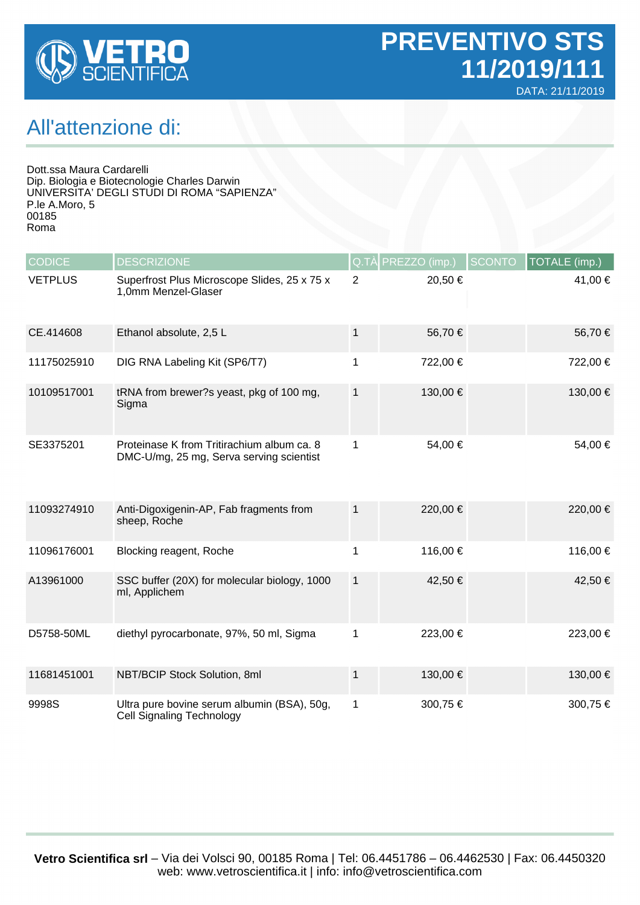

## All'attenzione di:

Dott.ssa Maura Cardarelli Dip. Biologia e Biotecnologie Charles Darwin UNIVERSITA' DEGLI STUDI DI ROMA "SAPIENZA" P.le A.Moro, 5 00185 Roma

| <b>CODICE</b>  | <b>DESCRIZIONE</b>                                                                     |                | Q.TÀ PREZZO (imp.) | <b>SCONTO</b> | TOTALE (imp.) |
|----------------|----------------------------------------------------------------------------------------|----------------|--------------------|---------------|---------------|
| <b>VETPLUS</b> | Superfrost Plus Microscope Slides, 25 x 75 x<br>1,0mm Menzel-Glaser                    | $\overline{2}$ | 20,50 €            |               | 41,00 €       |
| CE.414608      | Ethanol absolute, 2,5 L                                                                | 1              | 56,70€             |               | 56,70 €       |
| 11175025910    | DIG RNA Labeling Kit (SP6/T7)                                                          | 1              | 722,00 €           |               | 722,00 €      |
| 10109517001    | tRNA from brewer?s yeast, pkg of 100 mg,<br>Sigma                                      | 1              | 130,00 €           |               | 130,00 €      |
| SE3375201      | Proteinase K from Tritirachium album ca. 8<br>DMC-U/mg, 25 mg, Serva serving scientist | 1              | 54,00 €            |               | 54,00 €       |
| 11093274910    | Anti-Digoxigenin-AP, Fab fragments from<br>sheep, Roche                                | $\mathbf{1}$   | 220,00 €           |               | 220,00 €      |
| 11096176001    | Blocking reagent, Roche                                                                | 1              | 116,00 €           |               | 116,00 €      |
| A13961000      | SSC buffer (20X) for molecular biology, 1000<br>ml, Applichem                          | $\mathbf{1}$   | 42,50 €            |               | 42,50 €       |
| D5758-50ML     | diethyl pyrocarbonate, 97%, 50 ml, Sigma                                               | 1              | 223,00 €           |               | 223,00 €      |
| 11681451001    | NBT/BCIP Stock Solution, 8ml                                                           | 1              | 130,00 €           |               | 130,00 €      |
| 9998S          | Ultra pure bovine serum albumin (BSA), 50g,<br><b>Cell Signaling Technology</b>        | 1              | 300,75 €           |               | 300,75 €      |